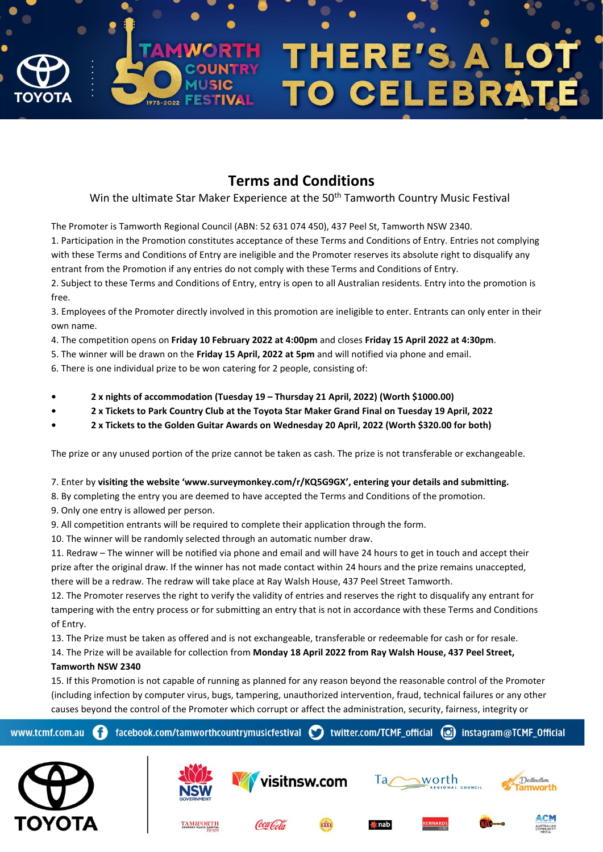

## **Terms and Conditions**

Win the ultimate Star Maker Experience at the 50<sup>th</sup> Tamworth Country Music Festival

The Promoter is Tamworth Regional Council (ABN: 52 631 074 450), 437 Peel St, Tamworth NSW 2340.

1. Participation in the Promotion constitutes acceptance of these Terms and Conditions of Entry. Entries not complying with these Terms and Conditions of Entry are ineligible and the Promoter reserves its absolute right to disqualify any entrant from the Promotion if any entries do not comply with these Terms and Conditions of Entry.

2. Subject to these Terms and Conditions of Entry, entry is open to all Australian residents. Entry into the promotion is free.

3. Employees of the Promoter directly involved in this promotion are ineligible to enter. Entrants can only enter in their own name.

- 4. The competition opens on **Friday 10 February 2022 at 4:00pm** and closes **Friday 15 April 2022 at 4:30pm**.
- 5. The winner will be drawn on the **Friday 15 April, 2022 at 5pm** and will notified via phone and email.
- 6. There is one individual prize to be won catering for 2 people, consisting of:
- **• 2 x nights of accommodation (Tuesday 19 – Thursday 21 April, 2022) (Worth \$1000.00)**
- **• 2 x Tickets to Park Country Club at the Toyota Star Maker Grand Final on Tuesday 19 April, 2022**
- **• 2 x Tickets to the Golden Guitar Awards on Wednesday 20 April, 2022 (Worth \$320.00 for both)**

The prize or any unused portion of the prize cannot be taken as cash. The prize is not transferable or exchangeable.

7. Enter by **visiting the website 'www.surveymonkey.com/r/KQ5G9GX', entering your details and submitting.**

- 8. By completing the entry you are deemed to have accepted the Terms and Conditions of the promotion.
- 9. Only one entry is allowed per person.

ΙΥΟΤΑ

9. All competition entrants will be required to complete their application through the form.

10. The winner will be randomly selected through an automatic number draw.

**TAMWORTH** 

11. Redraw – The winner will be notified via phone and email and will have 24 hours to get in touch and accept their prize after the original draw. If the winner has not made contact within 24 hours and the prize remains unaccepted, there will be a redraw. The redraw will take place at Ray Walsh House, 437 Peel Street Tamworth.

12. The Promoter reserves the right to verify the validity of entries and reserves the right to disqualify any entrant for tampering with the entry process or for submitting an entry that is not in accordance with these Terms and Conditions of Entry.

13. The Prize must be taken as offered and is not exchangeable, transferable or redeemable for cash or for resale.

14. The Prize will be available for collection from **Monday 18 April 2022 from Ray Walsh House, 437 Peel Street, Tamworth NSW 2340**

15. If this Promotion is not capable of running as planned for any reason beyond the reasonable control of the Promoter (including infection by computer virus, bugs, tampering, unauthorized intervention, fraud, technical failures or any other causes beyond the control of the Promoter which corrupt or affect the administration, security, fairness, integrity or



 $^{\prime}$  nab